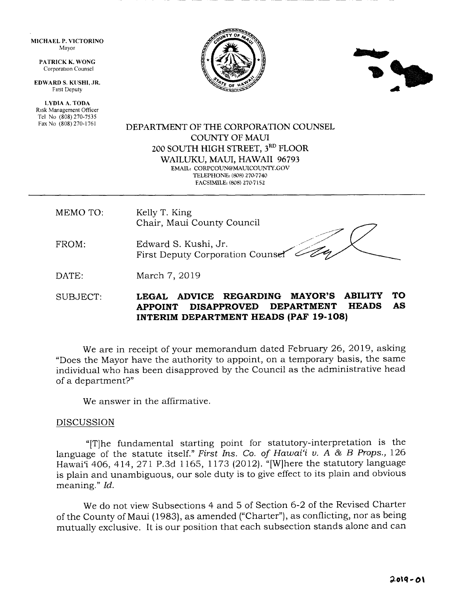MICHAEL P. VICTORINO Mayor

> PATRICK K, WONG Corporation Counsel

EDWARD S. KUSHI, JR. Frrst Deputy

LYDIA A. TODA Risk Management Officer Tel No (808) 270-7535 Fax No (808) 270-1761





## DEPARTMENT OF THE CORPORATION COLINSEL COUNTY OF MAUI 2OO SOUTH HIGH STREET, 3RD FLOOR WAILUKU, MAUI, HAWAII 96793 EMAIL: CORPCOUN@MAUICOUNTY.GOV

TELEPHONE: (808) 270-7740 FACSIMILE, (808) 270-7 152

MEMO TO: Kelly T. King Chair, Maui County Council

FROM Edward S. Kushi, Jr. First Deputy Corporation Counser

DATE: March 7, 2019

# SUBJECT: LEGAL ADVICE REGARDING MAYOR'S ABILITY TO<br>APPOINT DISAPPROVED DEPARTMENT HEADS AS APPOINT DISAPPROVED INTERIM DEPARTMENT HEADS (PAF 19-108)

We are in receipt of your memorandum dated February 26, 2019, asking "Does the Mayor have the authority to appoint, on a temporary basis, the same individual who has been disapproved by the Councii as the administrative head of a department?"

We answer in the affirmative.

## DISCUSSION

"[T]he fundamental starting point for statutory-interpretation is the language of the statute itself." First Ins. Co. of Hawai'i v. A & B Props.,  $126$ Hawai'i 406, 414, 271 P.3d 1165, 1173 (2012). "[W]here the statutory language is plain and unambiguous, our sole duty is to give effect to its plain and obvious meaning." Id.

We do not view Subsections 4 and 5 of Section 6-2 of the Revised Charter of the County of Maui (1983), as amended ("Charter"), as conflicting, nor as being mutually exclusive. It is our position that each subsection stands alone and can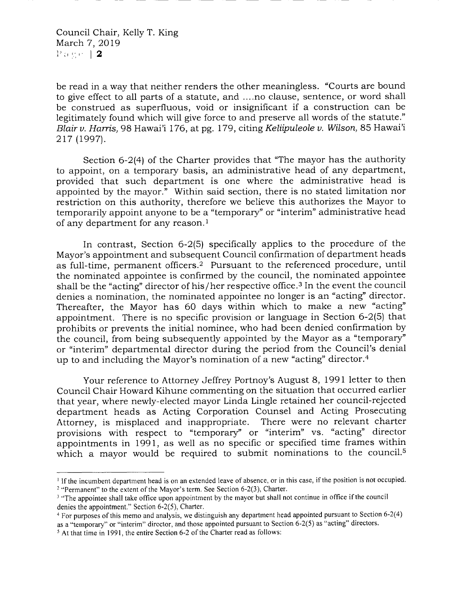be read in a way that neither renders the other meaningless. "Courts are bound to give effect to all parts of a statute, and ....no clause, sentence, or word shall be construed as superfluous, void or insignificant if a construction can be legitimately found which will give force to and preserve all words of the statute." Blair v. Harris, 98 Hawai'i 176, at pg. 179, citing Keliipuleole v. Wilson, 85 Hawai'i 217 (1997).

Section  $6-2(4)$  of the Charter provides that "The mayor has the authority to appoint, on a temporary basis, an administrative head of any department, provided that such department is one where the administrative head is appointed by the mayor." Within said section, there is no stated limitation nor restriction on this authority, therefore we believe this authorizes the Mayor to temporarily appoint anyone to be a "temporary" or "interim" administrative head of any department for any reason.<sup>1</sup>

In contrast, Section 6-2(5) specifically applies to the procedure of the Mayor's appointment and subsequent Council confirmation of department heads as full-time, permanent officers.2 Pursuant to the referenced procedure, until the nominated appointee is confirmed by the council, the nominated appointee shall be the "acting" director of his/her respective office.<sup>3</sup> In the event the council denies a nomination, the nominated appointee no longer is an "acting" director. Thereafter, the Mayor has 60 days within which to make a new "acting" appointment. There is no specific provision or language in Section 6-2(5) that prohibits or prevents the initial nominee, who had been denied confirmation by the council, from being subsequently appointed by the Mayor as a "temporary" or "interim" departmental director during the period from the Council's denial up to and including the Mayor's nomination of a new "acting" director.<sup>4</sup>

Your reference to Attorney Jeffrey Portnoy's August 8, 1991 letter to then Council Chair Howard Kihune commenting on the situation that occurred earlier that year, where newly-elected mayor Linda Lingle retained her council-rejected department heads as Acting Corporation Counsel and Acting Prosecuting Attorney, is misplaced and inappropriate. There were no relevant charter provisions with respect to "temporary" or "interim" vs. "acting" director appointments in 199L, as weil as no specific or specified time frames within which a mayor would be required to submit nominations to the council.<sup>5</sup>

<sup>&</sup>lt;sup>1</sup> If the incumbent department head is on an extended leave of absence, or in this case, if the position is not occupied. <sup>2</sup> "Permanent" to the extent of the Mayor's term. See Section 6-2(3), Charter.

<sup>&</sup>lt;sup>3</sup> "The appointee shall take office upon appointment by the mayor but shall not continue in office if the council denies the appointment," Section 6-2(5), Charter.

<sup>&</sup>lt;sup>4</sup> For purposes of this memo and analysis, we distinguish any department head appointed pursuant to Section  $6-2(4)$ as a "temporary" or "interim" director, and those appointed pursuant to Section 6-2(5) as "acting" directors.

 $<sup>5</sup>$  At that time in 1991, the entire Section 6-2 of the Charter read as follows:</sup>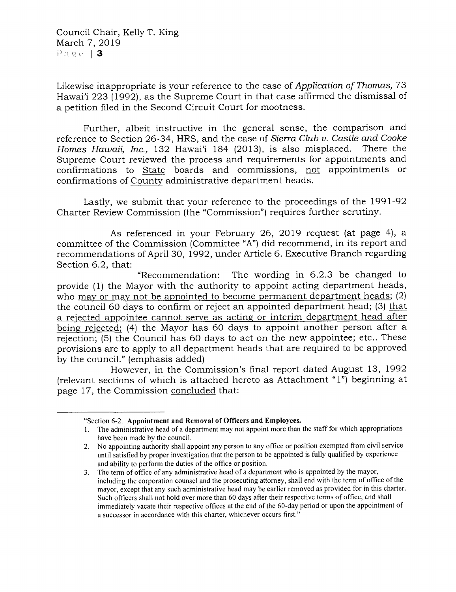Council Chair, Kelly T. King March 7, 2019  $P_{\text{2.2.4}}$  | 3

Likewise inappropriate is your reference to the case of Application of Thomas, 73 Hawai'i 223 (1992), as the Supreme Court in that case affirmed the dismissal of a petition filed in the Second Circuit Court for mootness.

Further, albeit instructive in the general sense, the comparison and reference to Section 26-34, HRS, and the case of Sierra Club v. Castle and Cooke Homes Hawaii, Inc., 132 Hawai'i 184 (2013), is also misplaced. There the Supreme Court reviewed the process and requirements for appointments and confirmations to State boards and commissions, not appointments or confirmations of County administrative department heads.

Lastly, we submit that your reference to the proceedings of the 1991-92 Charter Review Commission (the "Commission") requires further scrutiny.

As referenced in your February 26, 2019 request (at page 4), a committee of the Commission (Committee "A") did recommend, in its report and recommendations of April 30, 1992, under Article 6. Executive Branch regarding Section 6.2, that:

"Recommendation: The wording in 6.2.g be changed to provide (1) the Mayor with the authority to appoint acting department heads, who may or may not be appointed to become permanent department heads;  $(2)$ the council 60 days to confirm or reject an appointed department head; (3) that a rejected appointee cannot serve as acting or interim department head after being rejected: (4) the Mayor has 60 days to appoint another person after a rejection; (5) the Council has 60 days to act on the new appointee; etc.. These provisions are to apply to all department heads that are required to be approved by the council." (emphasis added)

However, in the Commission's final report dated August 13, 1992 (relevant sections of which is attached hereto as Attachment " 1") beginning at page 17, the Commission concluded that:

<sup>&</sup>quot;Section 6-2. Appointment and Removal of Officers and Employees.

<sup>1.</sup> The administrative head of a department may not appoint more than the staff for which appropriations have been made by the council.

<sup>2.</sup> No appointing authority shall appoint any person to any office or position exempted from civil service until satisfied by proper investigation that the person to be appointed is fully qualified by experience and ability to perform the duties of the office or position.

<sup>3.</sup> The term of office of any administrative head of a department who is appointed by the mayor, including the corporation counsel and the prosecuting attorney, shall end with the term of office of the mayor, except that any such administrative head may be earlier removed as provided for in this charter Such officers shall not hold over more than 60 days after their respective terms of office, and shall immediately vacate their respective offices at the end of the 60-day period or upon the appointment of a successor in accordance with this charter, whichever occurs first."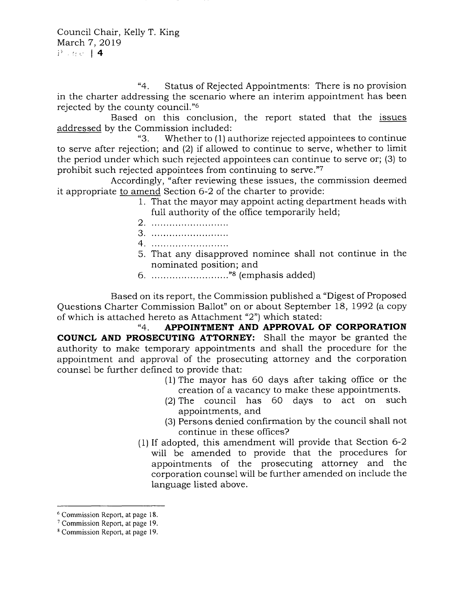Council Chair, Kelly T. King March 7, 2019 i' r: ,. <sup>14</sup>

"4. Status of Rejected Appointments: There is no provision in the charter addressing the scenario where an interim appointment has been rejected by the county council."6

Based on this conclusion, the report stated that the issues addressed by the Commission included:<br>"3. Whether to (1) a

Whether to (1) authorize rejected appointees to continue to serve after rejection; and (2) if allowed to continue to serve, whether to limit the period under which such rejected appointees can continue to serve or; (3) to prohibit such rejected appointees from continuing to servs."7

Accordingly, "after reviewing these issues, the commission deemed it appropriate to amend Section 6-2 of the charter to provide:

- 1. That the mayor may appoint acting department heads with full authority of the office temporarily held;
- 2. ...........................
- 3
- 4. ...........................
- 5. That any disapproved nominee shall not continue in the
- ::-:::::: :::111,r',3llnasis added) 6

Based on its report, the Commission published a "Digest of Proposed Questions Charter Commission Ballot" on or about September 18, 1992 (a copy of which is attached hereto as Attachment "2") which stated:

"4, APPOINTMENT AND APPROVAL OF CORPORATION COUNCL AND PROSECUTING ATTORNEY: Shall the mayor be granted the authority to make temporary appointments and shall the procedure for the appointment and approval of the prosecuting attorney and the corporation counsel be further defined to provide that:

- (1) The mayor has 60 days after taking office or the creation of a vacancy to make these appointments.
- (2) The council has 60 days to act on such appointments, and
- (3) Persons denied confirmation by the council shall not continue in these offices?
- (1) If adopted, this amendment will provide that Section 6-2 will be amended to provide that the procedures for appointments of the prosecuting attorney and the corporation counsel will be further amended on include the language listed above.

<sup>&</sup>lt;sup>6</sup> Commission Report, at page 18.

 $<sup>7</sup>$  Commission Report, at page 19.</sup>

<sup>&</sup>lt;sup>8</sup> Commission Report, at page 19.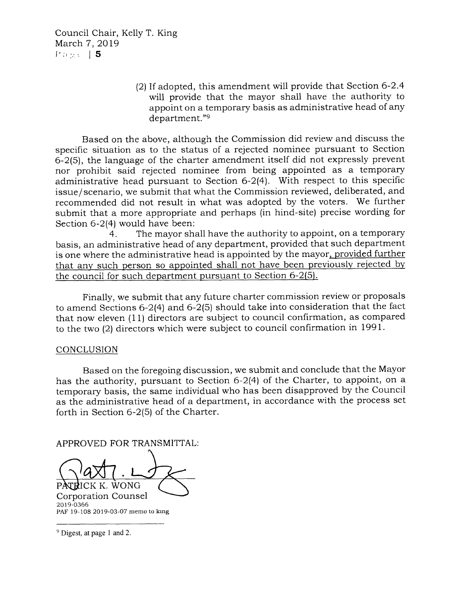Council Chair, Kelly T. King March 7, 2019 {' :t ,-".,. I <sup>5</sup>

> (2) lf adopted, this amendment will provide that Section 6-2.4 will provide that the mayor shall have the authority to appoint on a temporary basis as administrative head of any department."9

Based on the above, although the Commission did review and discuss the specific situation as to the status of a rejected nominee pursuant to Section 6-2(5), the language of the charter amendment itself did not expressly prevent nor prohibit said rejected nominee from being appointed as a temporary administrative head pursuant to Section 6-2(4). With respect to this specific issue/ scenario, we submit that what the Commission reviewed, deliberated, and recommended did not result in what was adopted by the voters. We further submit that a more appropriate and perhaps (in hind-site) precise wording for Section 6-2(4) would have been:

4. The mayor shail have the authority to appoint, on a temporary basis, an administrative head of any department, provided that such department is one where the administrative head is appointed by the mayor, provided further that any such person so appointed shall not have been previously rejected by the council for such department pursuant to Section 6-2(5).

Finally, we submit that any future charter commission review or proposals to amend Sections 6-2(4) and 6-2(5) should take into consideration that the fact that now eleven (11) directors are subject to council confirmation, as compared to the two (2) directors which were subject to council confirmation in 1991.

# CONCLUSION

Based on the foregoing discussion, we submit and conclude that the Mayor has the authority, pursuant to Section 6-2(4) of the Charter, to appoint, on <sup>a</sup> temporary basis, the same individual who has been disapproved by the Council as the administrative head of a department, in accordance with the process set forth in Section 6-2(5) of the Charter.

APPROVED FOR TRANSMITTAL

PATRICK K. WONG

Corporation Counsel 2019-0366 PAF 19-108 2019-03-07 memo to king

<sup>&</sup>lt;sup>9</sup> Digest, at page 1 and 2.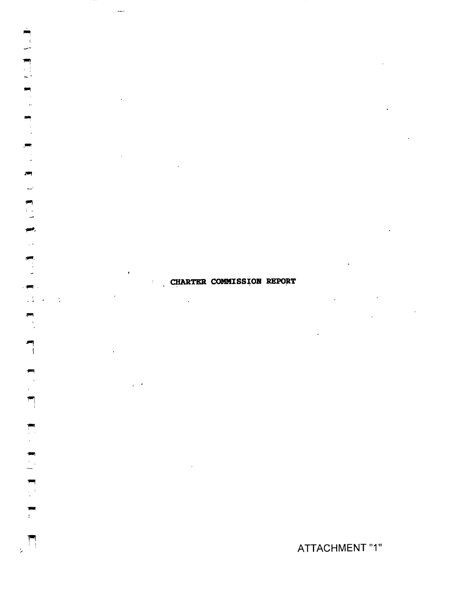**CHARTER COMMISSION REPORT**  $\hat{\mathbf{r}}$  $\ddot{\phantom{a}}$ 

 $\hat{\boldsymbol{\cdot}$ 

 $\frac{1}{2}$ 

画

 $\left\langle \mathbf{r}^{\mathrm{max}}\right\rangle$  $\mathbb{C}^{\mathbb{Z}_2}$ 

> gа), Ц.

 $\frac{1}{2}$ 

 $\blacksquare$ 

 $\begin{bmatrix} 1 & 1 \\ 1 & 1 \end{bmatrix}$ 

 $\overline{1}$ 

 $\mathcal{L}$ 

 $\ddot{\cdot}$ 

 $\overline{\phantom{a}}$  $\mathcal{E}^{\pm}$ 

 $\ddot{\phantom{0}}$ 

ATTACHMENT "1"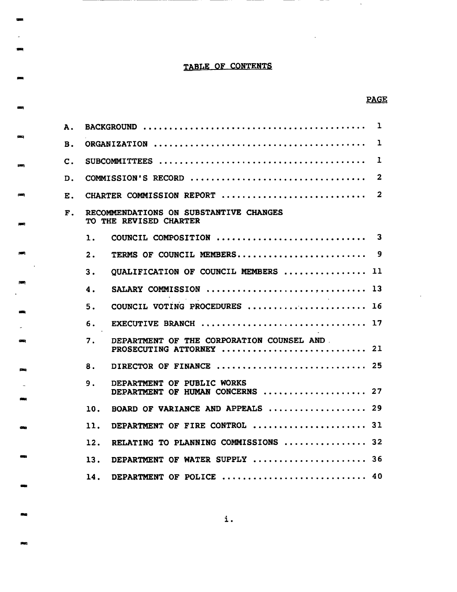# TABLE OF CONTENTS

e.

 $\blacksquare$ 

pang.

**REP** 

# **PAGE**

 $\bar{\mathcal{A}}$ 

| А.             |                                                                      | $\mathbf{I}$   |  |  |  |
|----------------|----------------------------------------------------------------------|----------------|--|--|--|
| В.             | $\bf{1}$                                                             |                |  |  |  |
| $\mathbf{C}$ . | 1                                                                    |                |  |  |  |
| D.             | COMMISSION'S RECORD                                                  | $\overline{2}$ |  |  |  |
| Е.             | CHARTER COMMISSION REPORT                                            | $\overline{2}$ |  |  |  |
| $\mathbf{F}$ . | RECOMMENDATIONS ON SUBSTANTIVE CHANGES<br>TO THE REVISED CHARTER     |                |  |  |  |
|                | 1.                                                                   |                |  |  |  |
|                | 2.                                                                   |                |  |  |  |
|                | OUALIFICATION OF COUNCIL MEMBERS  11<br>3.                           |                |  |  |  |
|                | SALARY COMMISSION  13<br>4.                                          |                |  |  |  |
|                | COUNCIL VOTING PROCEDURES  16<br>5.                                  |                |  |  |  |
|                | EXECUTIVE BRANCH  17<br>6.                                           |                |  |  |  |
|                | DEPARTMENT OF THE CORPORATION COUNSEL AND<br>7.                      |                |  |  |  |
|                | DIRECTOR OF FINANCE  25<br>8.                                        |                |  |  |  |
|                | 9.<br>DEPARTMENT OF PUBLIC WORKS<br>DEPARTMENT OF HUMAN CONCERNS  27 |                |  |  |  |
|                | BOARD OF VARIANCE AND APPEALS  29<br>10.                             |                |  |  |  |
|                | DEPARTMENT OF FIRE CONTROL  31<br>11.                                |                |  |  |  |
|                | RELATING TO PLANNING COMMISSIONS  32<br>12.                          |                |  |  |  |
|                | DEPARTMENT OF WATER SUPPLY  36<br>13.                                |                |  |  |  |
|                | DEPARTMENT OF POLICE  40<br>14.                                      |                |  |  |  |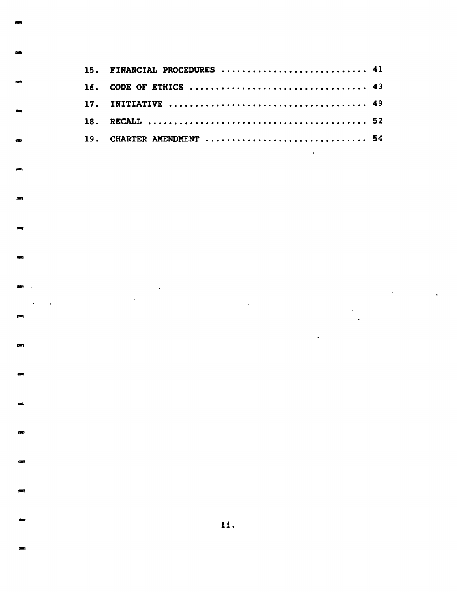| 15. FINANCIAL PROCEDURES  41 |  |
|------------------------------|--|
|                              |  |
|                              |  |
|                              |  |
| 19. CHARTER AMENDMENT  54    |  |

ä,

 $\blacksquare$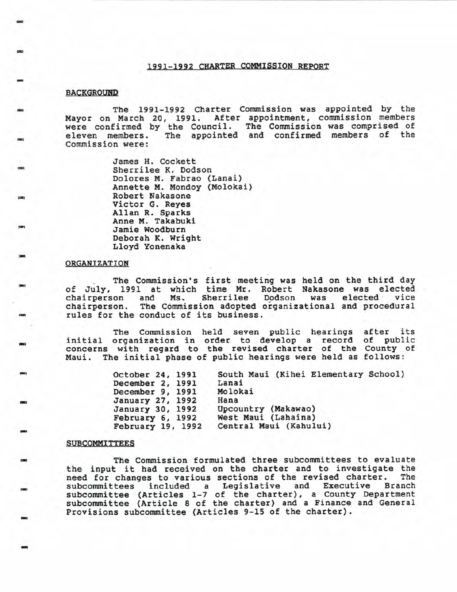#### <sup>199</sup>I-1992 CHARTER COMMISSION REPORT

### **BACKGROUND**

-

E

-r

-

tt

F-t

rral

r-l

EI

t-t

 $\approx$ 

r:t

-l

**FI** 

-

-t

tat

-t

I

The 1991-1992 Charter Commission was appointed by the Mayor on March 20, 1991. After appointment, commission members were confirmed by the Council. The Commission was comprised of eleven members. The appointed and confirmed members of the Commission were:

> James H. Cockett Sherrilee K. Dodson Dolores M. Fabrao (Lanai) Annette M. Mondoy (Molokai) Victor G. Reyes<br>Allan R. Sparks Anne M. Takabuki Jamie Woodburn Deborah K. Wright Lloyd Yonenaka

#### ORGANIZATION

The Commission's first meeting was held on the third day<br>of July, 1991 at which time Mr. Robert Nakasone was elected<br>chairperson and Ms. Sherrilee Dodson was elected vice chairperson. The Commission adopted organizational and procedural rules for the conduct of its business.

The Commission held seven public hearings after its initial organization in order to develop a record of public concerns with regard to the revised charter of the County of Maui. The initial phase of public hearings were held as follows:

| October 24, 1991  | South Maui (Kihei Elementary School) |
|-------------------|--------------------------------------|
| December 2, 1991  | Lanai                                |
| December 9, 1991  | Molokai                              |
| January 27, 1992  | Hana                                 |
| January 30, 1992  | Upcountry (Makawao)                  |
| February 6, 1992  | West Maui (Lahaina)                  |
| February 19, 1992 | Central Maui (Kahului)               |

#### **SUBCOMMITTEES**

The Commission formulated three subcommittees to evaluate<br>the input it had received on the charter and to investigate the<br>need for changes to various sections of the revised charter. The need for changes to various sections of the revised charter. need for changes to various sections of the revised charter. The<br>subcommittees included a Legislative and Executive Branch subcommittees included a hegislative and Executive Branch subcommittee (Article 8 of the charter) and a Finance and General Provisions subcommittee (Articles 9-15 of the charter).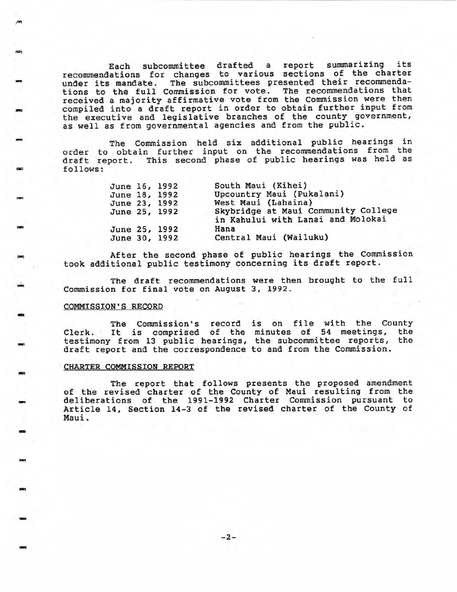Each subcommittee drafted a report summarizing its recommendations for changes to various sections of the charter under its mandate. The subcommittees presented their recommendations to the full Commission for vote. The recommendations that received a majority affirmative vote from the Commission were then compiled into a draft report in order to obtain further input from the executive and legislative branches of the county government, as well as from governmental agencies and from the public.

The Commission held six additional public hearings in order to obtain further input on the recommendations from the of the contract the conduction of the common the contract of the draft report. This second phase of public hearings was held as<br>follows:

| June 16, 1992<br>June 18, 1992<br>June 23, 1992 | June 25, 1992 | South Maui (Kihei)<br>Upcountry Maui (Pukalani)<br>West Maui (Lahaina)<br>Skybridge at Maui Community College<br>in Kahului with Lanai and Molokai |
|-------------------------------------------------|---------------|----------------------------------------------------------------------------------------------------------------------------------------------------|
| June 30, 1992                                   | June 25, 1992 | Hana<br>Central Maui (Wailuku)                                                                                                                     |

After the second phase of public hearings the Commission took additional public testimony concerning its draft report.

The draft recommendations were then brought to the full Commission for final vote on August 3, L992

#### COMMISSION'S RECORD

F

,El

rtt

-

I

E

-l

EI

ilt

a

-

-t

EI

E

-t

i.

E

-

The Commission's record is on file with the County<br>Clerk. It is comprised of the minutes of 54 meetings, the<br>testimony from 13 public hearings, the subcommittee reports, the draft report and the correspondence to and from the Commission.

#### CHARTER COMMISSION REPORT

The report that follows presents the proposed amendment<br>of the revised charter of the County of Maui resulting from the<br>deliberations of the 1991-1992 Charter Commission pursuant to Article 14, Section 14-3 of the revised charter of the County of Maui.

-2-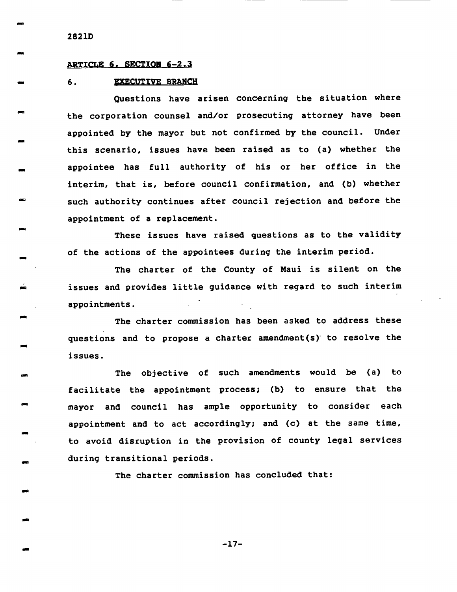282LD

**.** 

\*

I

A

i.

-

-t

-

-l

-

at

trt

.tt

-

ti and die stad of the context of the context of the context of the context of the context of the context of the context of the context of the context of the context of the context of the context of the context of the cont

rrll

aa

A

-a

#### ARTICLE 6. SECTION 6-2.3

#### 6. **EXECUTIVE BRANCH**

Questions have arisen concerning the situation where the corporation counsel and/ot prosecuting attorney have been appointed by the mayor but not confirmed by the council. Under this scenario, issues have been raised as to (a) whether the appointee has fuI1 authority of his or her office in the interim, that is, before council confirmation, and (b) whether such authority continues after council rejection and before the appointment of a replacement.

These issues have raised questions as to the validity of the actions of the appointees during the interim period.

The charter of the County of Maui is silent on the issues and provides little guidance with regard to such interim appointments

The charter commission has been asked to address these questions and to propose a charter amendment(s)' to resolve the issues.

The objective of such amendments would be (a) to facilitate the appointment process; (b) to ensure that the mayor and council has ample opportunity to consider each appointment and to act accordingly; and (c) at the same time, to avoid disruption in the provision of county legal services during transitional periods.

The charter commission has concluded that:

-L7-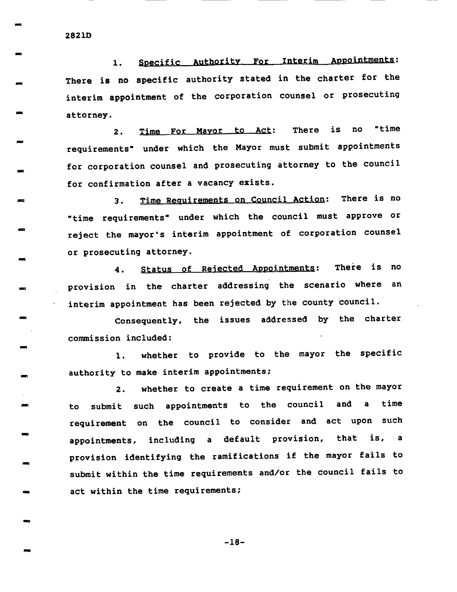282LD

-t

E

 $\blacksquare$ 

t-l

-

i-l

 $\blacksquare$ 

asl

-l

EI

EI

Et

-l

an

-

ta

-l

T

1. Specific Authority For Interim Appointments: There is no specific authority stated in the charter for the interim appointment of the corporation counsel or prosecuting attorney.

2. Time For Mayor to Act: There is no "time requirements' under which the Mayor nust submit appointments for corporation counsel and prosecuting attorney to the council for confirmation after a vacancy exists.

3. Time Requirements on Council Action: There is no 'time requirements' under which the council must aPProve or reject the mayor's interim appointment of corporation counsel or prosecuting attorneY.

4. Status of Rejected Appointments: There is no provision in the charter addressing the scenario where an interim appointment has been rejected by the county Council.'

Consequently, the issues addressed by the charter commission included:

1. whether to provide to the mayor the specific authority to make interim appointments;

2. whether to create a time requirement on the mayor to submit such appointments to the council and a time requlrement on the council to consider and act upon such appointments, including a default provision, that is, <sup>a</sup> provision identifying the ramifications if the mayor fails to submit within the time requirements and/or the council fails to act within the time requirements;

-18-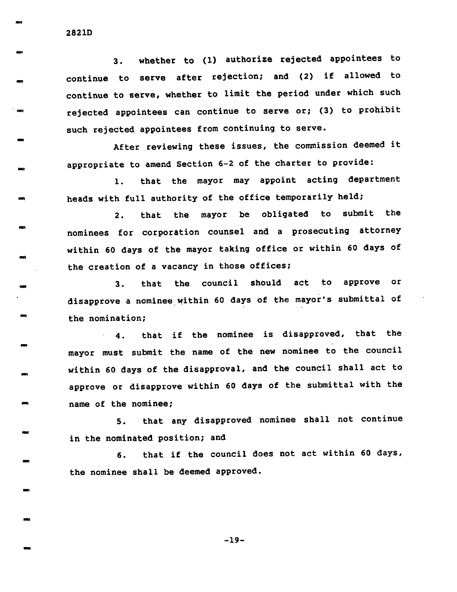3. whether to (1) authorize rejected appointees to continue to serve after rejection; and (2) if allowed to continue to serve, whether to limit the period under which such rejected appointees can continue to serve or; (3) to prohibit such rejected appointees from continuing to serve.

After reviewing these issues, the commission deemed it appropriate to amend Section 6-2 oE the charter to provide:

1. that the mayor may appoint acting department heads with full authority of the office temporarily held;

2, that the mayor be obligated to submit the nominees for corporation counsel and a prosecuting attorney within 60 days of the mayor taking office or within 60 days of the creation of a vacancy in those offices;

3. that the council should act to approve or disapprove a nominee within 60 days of the mayor's submittal of the nomination;

.4. that if the nominee is disapproved, that the mayor must submit the name of the new nominee to the council within 60 days of the disapproval, and the council shall act to approve or disapprove within 60 days oE the submittal with the name of the nominee;

5. that any disapproved nominee shall not continue in the nominated position; and

5. that if the council does not act within 60 days, the nominee shall be deemed approved.

282LD

tEt

E-t

E

E

**.** 

-t

il

rst

tEt

r-

-

-

FI

FE

-1

E

.E

E

-t

-19-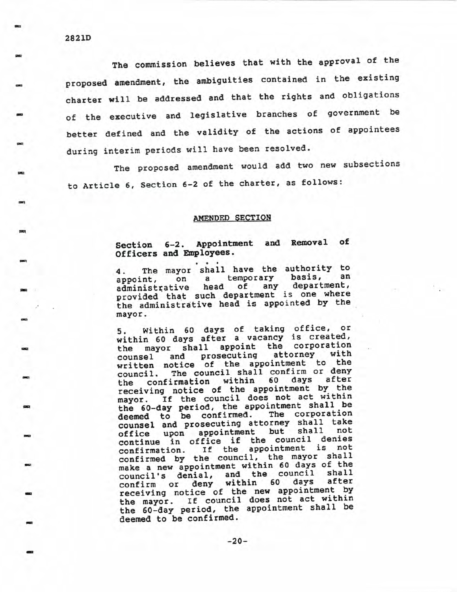The commission believes that with the approval of the proposed amendment, the ambiguities contained in the existing charter will be addressed and that the rights and obligations of the executive and legislative branches of government be better defined and the validity of the actions of appointees during interim periods will have been resolved.

The proposed amendment would add two new subsections to Article 6, Section 6-2 of the charter, as follows:

## AMENDED SECTION

# Section 6-2. Appointment and Removal of Officers and Employees.

The mayor shall have the authority to 4. temporary basis, an  $\mathbf{a}$ appoint, on department, head 0f any administrative provided that such department is one where the administrative head is appointed by the mayor.

Within 60 days of taking office, or 5. within 60 days after a vacancy is created, mayor shall appoint the corporation the with prosecuting attorney counsel and written notice of the appointment to the The council shall confirm or deny council. confirmation within 60 days after the receiving notice of the appointment by the mayor. If the council does not act within the 60-day period, the appointment shall be The corporation deemed to be confirmed. counsel and prosecuting attorney shall take but shall not office upon appointment continue in office if the council denies If the appointment is not confirmation. confirmed by the council, the mayor shall make a new appointment within 60 days of the council's denial, and the council shall after deny within days 60 confirm or receiving notice of the new appointment by the mayor. If council does not act within the 60-day period, the appointment shall be deemed to be confirmed.

æq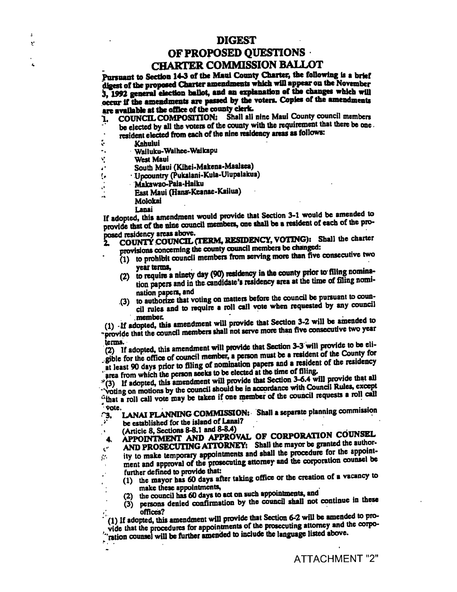## **DIGEST**

# OF PROPOSED QUESTIONS **CHARTER COMMISSION BALLOT**

Pursuant to Section 14-3 of the Maui County Charter, the following is a brief digest of the proposed Charter amendments which will appear on the November 3, 1992 general election ballot, and an explanation of the changes which will occur if the amendments are passed by the voters. Copies of the amendments are available at the office of the county clerk.

- Shall all nine Maui County council members **COUNCIL COMPOSITION:** 1. be elected by all the voters of the county with the requirement that there be one.
	- resident elected from each of the nine residency areas as follows:
- $\ddot{\cdot}$ Kahului

Ŀ.

Y

 $\mathbf{r}$ 

- Wailuku-Waihee-Waikapu  $\sim$  .
- Ý **West Maui**
- South Maui (Kihei-Makena-Maalaca)
- · Upcountry (Pukalani-Kula-Ulupalakua) I.
- Makawao-Paia-Haiku
	- East Maui (Hana-Keanae-Kailua)
	- Molokai
		- Lanai

If adopted, this amendment would provide that Section 3-1 would be amended to provide that of the nine council members, one shall be a resident of each of the proposed residency areas above.

- COUNTY COUNCIL (TERM, RESIDENCY, VOTING): Shall the charter provisions concerning the county council members be changed:
	- (1) to prohibit council members from serving more than five consecutive two year terms,
	- (2) to require a ninety day (90) residency in the county prior to filing nomination papers and in the candidate's residency area at the time of filing nomination papers, and
	- (3) to authorize that voting on matters before the council be pursuant to council rules and to require a roll call vote when requested by any council member.

(1) If adopted, this amendment will provide that Section 3-2 will be amended to provide that the council members shall not serve more than five consecutive two year terms.

(2) If adopted, this amendment will provide that Section 3-3 will provide to be eligible for the office of council member, a person must be a resident of the County for at least 90 days prior to filing of nomination papers and a resident of the residency area from which the person seeks to be elected at the time of filing.

(3) If adopted, this amendment will provide that Section 3-6.4 will provide that all<br>
"voting on motions by the council should be in accordance with Council Rules, except "that a roll call vote may be taken if one member of the council requests a roll call vote.

LANAI PLANNING COMMISSION: Shall a separate planning commission <u> $\cdot$ з.</u> be established for the island of Lanai?

(Article 8, Sections 8-8.1 and 8-8.4)

APPOINTMENT AND APPROVAL OF CORPORATION COUNSEL 4.

AND PROSECUTING ATTORNEY: Shall the mayor be granted the author-

- $\mathbf{C}^{\mathbf{C}}$ ity to make temporary appointments and shall the procedure for the appoint- $\mathcal{G}^{\mathcal{G}}$  . ment and approval of the prosecuting attorney and the corporation counsel be
	- further defined to provide that: (1) the mayor has 60 days after taking office or the creation of a vacancy to make these appointments,
		- the council has 60 days to act on such appointments, and
		- persons denied confirmation by the council shall not continue in these  $(3)$ offices?

(1) If adopted, this amendment will provide that Section 6-2 will be amended to provide that the procedures for appointments of the prosecuting attorney and the corpo-'ration counsel will be further amended to include the language listed above.

- - **ATTACHMENT "2"**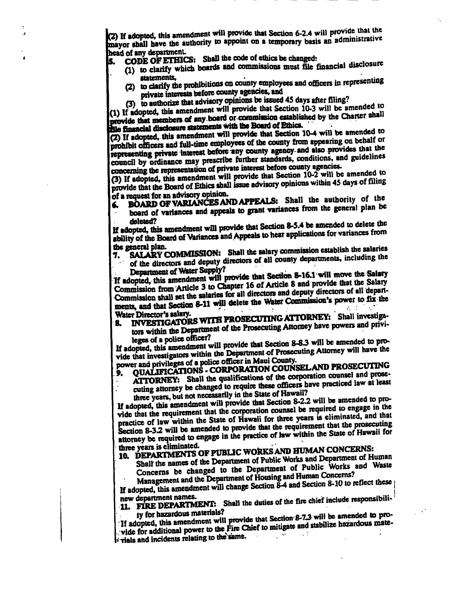(2) If adopted, this amendment will provide that Section 6-2.4 will provide that the mayor shall have the authority to appoint on a temporary basis an administrative head of any department.

- CODE OF ETHICS: Shall the code of ethics be changed:
	- (1) to clarify which boards and commissions must file financial disclosure statements.
		- (2) to clarify the prohibitions on county employees and officers in representing private interests before county agencies, and
		- (3) to authorize that advisory opinions be issued 45 days after filing?

(1) If adopted, this amendment will provide that Section 10-3 will be amended to provide that members of any board or commission established by the Charter shall the financial disclosure statements with the Board of Ethics.

(2) If adopted, this amendment will provide that Section 10-4 will be amended to prohibit officers and full-time employees of the county from appearing on behalf or representing private interest before any county agency and also provides that the council by ordinance may prescribe further standards, conditions, and guidelines concerning the representation of private interest before county agencies.

(3) If adopted, this amendment will provide that Section 10-2 will be amended to provide that the Board of Ethics shall issue advisory opinions within 45 days of filing of a request for an advisory opinion.

- BOARD OF VARIANCES AND APPEALS: Shall the authority of the
- board of variances and appeals to grant variances from the general plan be deleted?

If adopted, this amendment will provide that Section 8-5.4 be amended to delete the ability of the Board of Variances and Appeals to hear applications for variances from the general plan.

SALARY COMMISSION: Shall the salary commission establish the salaries 7.

of the directors and deputy directors of all county departments, including the Department of Water Supply?

If adopted, this amendment will provide that Section 8-16.1 will move the Salary Commission from Article 3 to Chapter 16 of Article 8 and provide that the Salary Commission shall set the salaries for all directors and deputy directors of all departments, and that Section 8-11 will delete the Water Commission's power to fix the Water Director's salary.

INVESTIGATORS WITH PROSECUTING ATTORNEY: Shall investiga-

tors within the Department of the Prosecuting Attorney have powers and privi-8. leges of a police officer?

If adopted, this amendment will provide that Section 8-8.3 will be amended to provide that investigators within the Department of Prosecuting Attorney will have the power and privileges of a police officer in Maui County.

# QUALIFICATIONS - CORPORATION COUNSEL AND PROSECUTING

ATTORNEY: Shall the qualifications of the corporation counsel and prose-9. cuting attorney be changed to require these officers have practiced law at least three years, but not necessarily in the State of Hawaii?

If adopted, this amendment will provide that Section 8-2.2 will be amended to provide that the requirement that the corporation counsel be required to engage in the practice of law within the State of Hawaii for three years is eliminated, and that Section 8-3.2 will be amended to provide that the requirement that the prosecuting attorney be required to engage in the practice of law within the State of Hawaii for

## three years is eliminated. 10. DEPARTMENTS OF PUBLIC WORKS AND HUMAN CONCERNS:

Shall the names of the Department of Public Works and Department of Human Concerns be changed to the Department of Public Works and Waste Management and the Department of Housing and Human Concerns?

If adopted, this amendment will change Section  $\tilde{8}$ -4 and Section 8-10 to reflect these new department names.

11. FIRE DEPARTMENT: Shall the duties of the fire chief include responsibili-

ty for hazardous materials? If adopted, this amendment will provide that Section 8-7.3 will be amended to provide for additional power to the Fire Chief to mitigate and stabilize hazardous mate- $\sharp$  rials and incidents relating to the same.  $\sim 10^{11}$  $\sim 10^{11}$